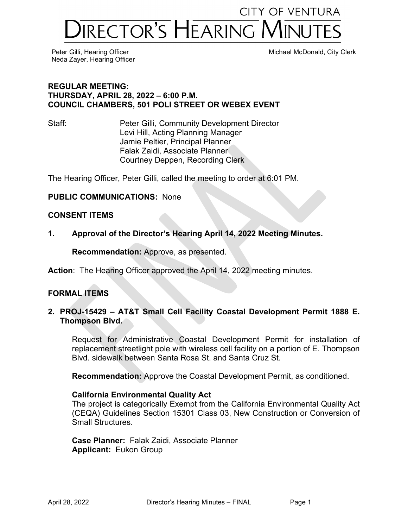# **CITY OF VENTURA IRECTOR'S HEARING MINUTES**

Neda Zayer, Hearing Officer

Peter Gilli, Hearing Officer Michael McDonald, City Clerk

#### **REGULAR MEETING: THURSDAY, APRIL 28, 2022 – 6:00 P.M. COUNCIL CHAMBERS, 501 POLI STREET OR WEBEX EVENT**

Staff: Peter Gilli, Community Development Director Levi Hill, Acting Planning Manager Jamie Peltier, Principal Planner Falak Zaidi, Associate Planner Courtney Deppen, Recording Clerk

The Hearing Officer, Peter Gilli, called the meeting to order at 6:01 PM.

# **PUBLIC COMMUNICATIONS:** None

## **CONSENT ITEMS**

**1. Approval of the Director's Hearing April 14, 2022 Meeting Minutes.** 

**Recommendation:** Approve, as presented.

**Action**: The Hearing Officer approved the April 14, 2022 meeting minutes.

# **FORMAL ITEMS**

## **2. PROJ-15429 – AT&T Small Cell Facility Coastal Development Permit 1888 E. Thompson Blvd.**

Request for Administrative Coastal Development Permit for installation of replacement streetlight pole with wireless cell facility on a portion of E. Thompson Blvd. sidewalk between Santa Rosa St. and Santa Cruz St.

**Recommendation:** Approve the Coastal Development Permit, as conditioned.

#### **California Environmental Quality Act**

The project is categorically Exempt from the California Environmental Quality Act (CEQA) Guidelines Section 15301 Class 03, New Construction or Conversion of Small Structures.

**Case Planner:** Falak Zaidi, Associate Planner **Applicant:** Eukon Group